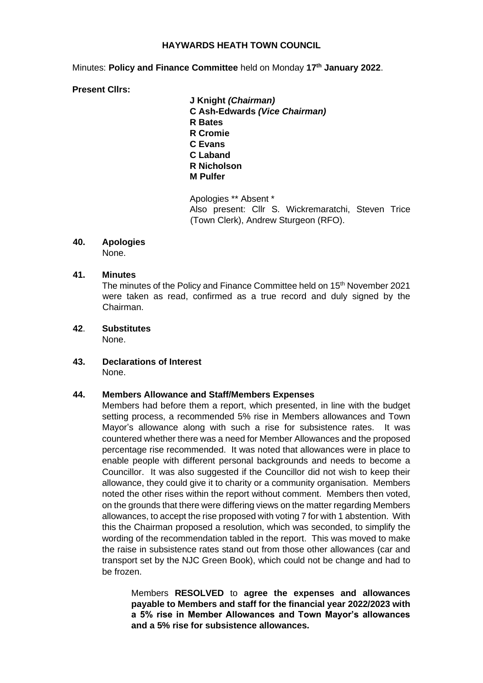#### **HAYWARDS HEATH TOWN COUNCIL**

Minutes: **Policy and Finance Committee** held on Monday **17th January 2022**.

#### **Present Cllrs:**

**J Knight** *(Chairman)* **C Ash-Edwards** *(Vice Chairman)* **R Bates R Cromie C Evans C Laband R Nicholson M Pulfer** 

Apologies \*\* Absent \* Also present: Cllr S. Wickremaratchi, Steven Trice (Town Clerk), Andrew Sturgeon (RFO).

#### **40. Apologies** None.

#### **41. Minutes**

The minutes of the Policy and Finance Committee held on 15<sup>th</sup> November 2021 were taken as read, confirmed as a true record and duly signed by the Chairman.

# **42**. **Substitutes**

None.

#### **43. Declarations of Interest**  None.

## **44. Members Allowance and Staff/Members Expenses**

Members had before them a report, which presented, in line with the budget setting process, a recommended 5% rise in Members allowances and Town Mayor's allowance along with such a rise for subsistence rates. It was countered whether there was a need for Member Allowances and the proposed percentage rise recommended. It was noted that allowances were in place to enable people with different personal backgrounds and needs to become a Councillor. It was also suggested if the Councillor did not wish to keep their allowance, they could give it to charity or a community organisation. Members noted the other rises within the report without comment. Members then voted, on the grounds that there were differing views on the matter regarding Members allowances, to accept the rise proposed with voting 7 for with 1 abstention. With this the Chairman proposed a resolution, which was seconded, to simplify the wording of the recommendation tabled in the report. This was moved to make the raise in subsistence rates stand out from those other allowances (car and transport set by the NJC Green Book), which could not be change and had to be frozen.

Members **RESOLVED** to **agree the expenses and allowances payable to Members and staff for the financial year 2022/2023 with a 5% rise in Member Allowances and Town Mayor's allowances and a 5% rise for subsistence allowances.**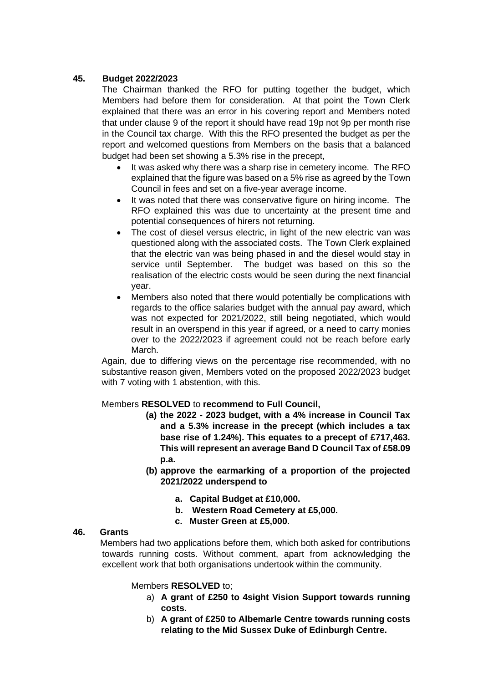# **45. Budget 2022/2023**

The Chairman thanked the RFO for putting together the budget, which Members had before them for consideration. At that point the Town Clerk explained that there was an error in his covering report and Members noted that under clause 9 of the report it should have read 19p not 9p per month rise in the Council tax charge. With this the RFO presented the budget as per the report and welcomed questions from Members on the basis that a balanced budget had been set showing a 5.3% rise in the precept,

- It was asked why there was a sharp rise in cemetery income. The RFO explained that the figure was based on a 5% rise as agreed by the Town Council in fees and set on a five-year average income.
- It was noted that there was conservative figure on hiring income. The RFO explained this was due to uncertainty at the present time and potential consequences of hirers not returning.
- The cost of diesel versus electric, in light of the new electric van was questioned along with the associated costs. The Town Clerk explained that the electric van was being phased in and the diesel would stay in service until September. The budget was based on this so the realisation of the electric costs would be seen during the next financial year.
- Members also noted that there would potentially be complications with regards to the office salaries budget with the annual pay award, which was not expected for 2021/2022, still being negotiated, which would result in an overspend in this year if agreed, or a need to carry monies over to the 2022/2023 if agreement could not be reach before early March.

Again, due to differing views on the percentage rise recommended, with no substantive reason given, Members voted on the proposed 2022/2023 budget with 7 voting with 1 abstention, with this.

#### Members **RESOLVED** to **recommend to Full Council,**

- **(a) the 2022 - 2023 budget, with a 4% increase in Council Tax and a 5.3% increase in the precept (which includes a tax base rise of 1.24%). This equates to a precept of £717,463. This will represent an average Band D Council Tax of £58.09 p.a.**
- **(b) approve the earmarking of a proportion of the projected 2021/2022 underspend to**
	- **a. Capital Budget at £10,000.**
	- **b. Western Road Cemetery at £5,000.**
	- **c. Muster Green at £5,000.**

## **46. Grants**

Members had two applications before them, which both asked for contributions towards running costs. Without comment, apart from acknowledging the excellent work that both organisations undertook within the community.

#### Members **RESOLVED** to;

- a) **A grant of £250 to 4sight Vision Support towards running costs.**
- b) **A grant of £250 to Albemarle Centre towards running costs relating to the Mid Sussex Duke of Edinburgh Centre.**